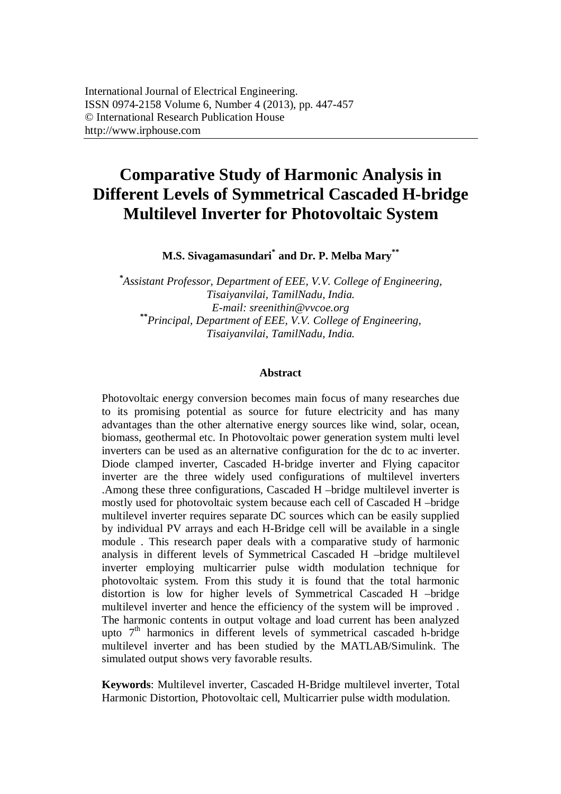# **Comparative Study of Harmonic Analysis in Different Levels of Symmetrical Cascaded H-bridge Multilevel Inverter for Photovoltaic System**

**M.S. Sivagamasundari\* and Dr. P. Melba Mary\*\***

*\* Assistant Professor, Department of EEE, V.V. College of Engineering, Tisaiyanvilai, TamilNadu, India. E-mail: sreenithin@vvcoe.org \*\*Principal, Department of EEE, V.V. College of Engineering, Tisaiyanvilai, TamilNadu, India.*

#### **Abstract**

Photovoltaic energy conversion becomes main focus of many researches due to its promising potential as source for future electricity and has many advantages than the other alternative energy sources like wind, solar, ocean, biomass, geothermal etc. In Photovoltaic power generation system multi level inverters can be used as an alternative configuration for the dc to ac inverter. Diode clamped inverter, Cascaded H-bridge inverter and Flying capacitor inverter are the three widely used configurations of multilevel inverters .Among these three configurations, Cascaded H –bridge multilevel inverter is mostly used for photovoltaic system because each cell of Cascaded H –bridge multilevel inverter requires separate DC sources which can be easily supplied by individual PV arrays and each H-Bridge cell will be available in a single module . This research paper deals with a comparative study of harmonic analysis in different levels of Symmetrical Cascaded H –bridge multilevel inverter employing multicarrier pulse width modulation technique for photovoltaic system. From this study it is found that the total harmonic distortion is low for higher levels of Symmetrical Cascaded H –bridge multilevel inverter and hence the efficiency of the system will be improved . The harmonic contents in output voltage and load current has been analyzed upto  $7<sup>th</sup>$  harmonics in different levels of symmetrical cascaded h-bridge multilevel inverter and has been studied by the MATLAB/Simulink. The simulated output shows very favorable results.

**Keywords**: Multilevel inverter, Cascaded H-Bridge multilevel inverter, Total Harmonic Distortion, Photovoltaic cell, Multicarrier pulse width modulation.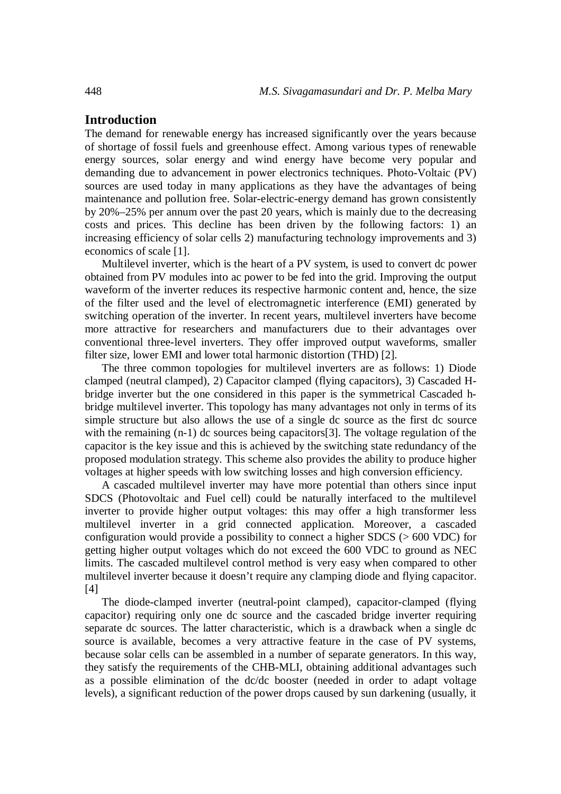# **Introduction**

The demand for renewable energy has increased significantly over the years because of shortage of fossil fuels and greenhouse effect. Among various types of renewable energy sources, solar energy and wind energy have become very popular and demanding due to advancement in power electronics techniques. Photo-Voltaic (PV) sources are used today in many applications as they have the advantages of being maintenance and pollution free. Solar-electric-energy demand has grown consistently by 20%–25% per annum over the past 20 years, which is mainly due to the decreasing costs and prices. This decline has been driven by the following factors: 1) an increasing efficiency of solar cells 2) manufacturing technology improvements and 3) economics of scale [1].

Multilevel inverter, which is the heart of a PV system, is used to convert dc power obtained from PV modules into ac power to be fed into the grid. Improving the output waveform of the inverter reduces its respective harmonic content and, hence, the size of the filter used and the level of electromagnetic interference (EMI) generated by switching operation of the inverter. In recent years, multilevel inverters have become more attractive for researchers and manufacturers due to their advantages over conventional three-level inverters. They offer improved output waveforms, smaller filter size, lower EMI and lower total harmonic distortion (THD) [2].

The three common topologies for multilevel inverters are as follows: 1) Diode clamped (neutral clamped), 2) Capacitor clamped (flying capacitors), 3) Cascaded Hbridge inverter but the one considered in this paper is the symmetrical Cascaded hbridge multilevel inverter. This topology has many advantages not only in terms of its simple structure but also allows the use of a single dc source as the first dc source with the remaining  $(n-1)$  dc sources being capacitors [3]. The voltage regulation of the capacitor is the key issue and this is achieved by the switching state redundancy of the proposed modulation strategy. This scheme also provides the ability to produce higher voltages at higher speeds with low switching losses and high conversion efficiency.

A cascaded multilevel inverter may have more potential than others since input SDCS (Photovoltaic and Fuel cell) could be naturally interfaced to the multilevel inverter to provide higher output voltages: this may offer a high transformer less multilevel inverter in a grid connected application. Moreover, a cascaded configuration would provide a possibility to connect a higher SDCS (> 600 VDC) for getting higher output voltages which do not exceed the 600 VDC to ground as NEC limits. The cascaded multilevel control method is very easy when compared to other multilevel inverter because it doesn't require any clamping diode and flying capacitor. [4]

The diode-clamped inverter (neutral-point clamped), capacitor-clamped (flying capacitor) requiring only one dc source and the cascaded bridge inverter requiring separate dc sources. The latter characteristic, which is a drawback when a single dc source is available, becomes a very attractive feature in the case of PV systems, because solar cells can be assembled in a number of separate generators. In this way, they satisfy the requirements of the CHB-MLI, obtaining additional advantages such as a possible elimination of the dc/dc booster (needed in order to adapt voltage levels), a significant reduction of the power drops caused by sun darkening (usually, it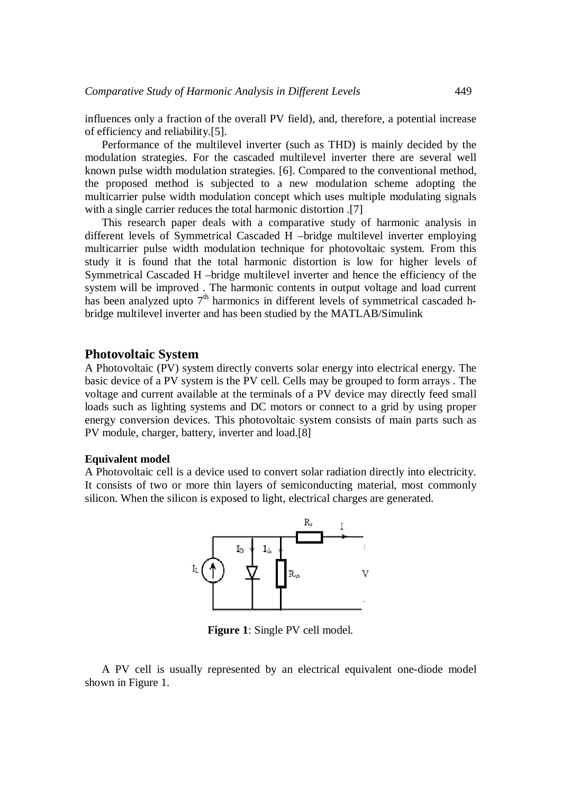influences only a fraction of the overall PV field), and, therefore, a potential increase of efficiency and reliability.[5].

Performance of the multilevel inverter (such as THD) is mainly decided by the modulation strategies. For the cascaded multilevel inverter there are several well known pulse width modulation strategies. [6]. Compared to the conventional method, the proposed method is subjected to a new modulation scheme adopting the multicarrier pulse width modulation concept which uses multiple modulating signals with a single carrier reduces the total harmonic distortion .[7]

This research paper deals with a comparative study of harmonic analysis in different levels of Symmetrical Cascaded H –bridge multilevel inverter employing multicarrier pulse width modulation technique for photovoltaic system. From this study it is found that the total harmonic distortion is low for higher levels of Symmetrical Cascaded H –bridge multilevel inverter and hence the efficiency of the system will be improved . The harmonic contents in output voltage and load current has been analyzed upto 7<sup>th</sup> harmonics in different levels of symmetrical cascaded hbridge multilevel inverter and has been studied by the MATLAB/Simulink

## **Photovoltaic System**

A Photovoltaic (PV) system directly converts solar energy into electrical energy. The basic device of a PV system is the PV cell. Cells may be grouped to form arrays . The voltage and current available at the terminals of a PV device may directly feed small loads such as lighting systems and DC motors or connect to a grid by using proper energy conversion devices. This photovoltaic system consists of main parts such as PV module, charger, battery, inverter and load.[8]

#### **Equivalent model**

A Photovoltaic cell is a device used to convert solar radiation directly into electricity. It consists of two or more thin layers of semiconducting material, most commonly silicon. When the silicon is exposed to light, electrical charges are generated.



**Figure 1**: Single PV cell model.

A PV cell is usually represented by an electrical equivalent one-diode model shown in Figure 1.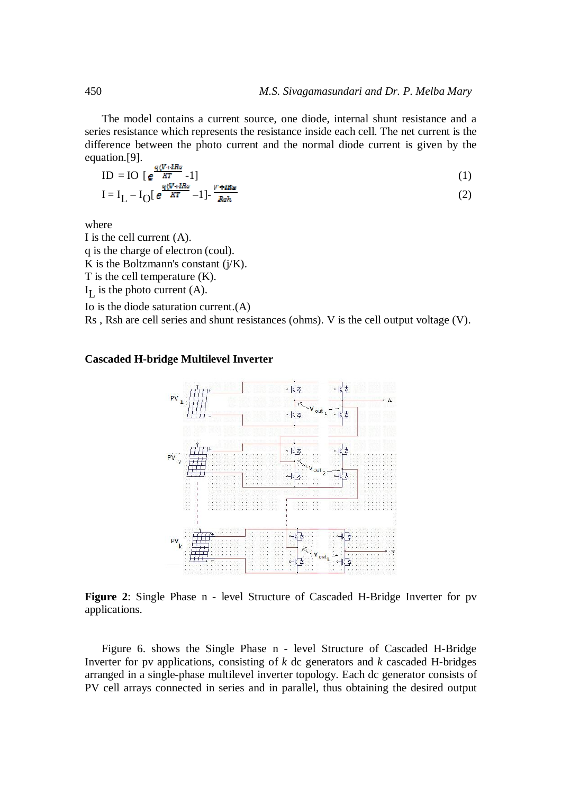The model contains a current source, one diode, internal shunt resistance and a series resistance which represents the resistance inside each cell. The net current is the difference between the photo current and the normal diode current is given by the equation.[9].  $\sim$   $\sim$ 

$$
ID = IO [e^{\frac{q(V + IRS}{RT}} - 1]
$$
  
\n
$$
I = I_L - I_O[e^{\frac{q(V + IRS}{RT}} - 1] - \frac{V + IRS}{Rsh}
$$
\n(2)

where

I is the cell current (A). q is the charge of electron (coul). K is the Boltzmann's constant  $(i/K)$ . T is the cell temperature (K).  $I_L$  is the photo current (A). Io is the diode saturation current.(A)

Rs , Rsh are cell series and shunt resistances (ohms). V is the cell output voltage (V).

## **Cascaded H-bridge Multilevel Inverter**



**Figure 2**: Single Phase n - level Structure of Cascaded H-Bridge Inverter for pv applications.

Figure 6. shows the Single Phase n - level Structure of Cascaded H-Bridge Inverter for pv applications, consisting of *k* dc generators and *k* cascaded H-bridges arranged in a single-phase multilevel inverter topology. Each dc generator consists of PV cell arrays connected in series and in parallel, thus obtaining the desired output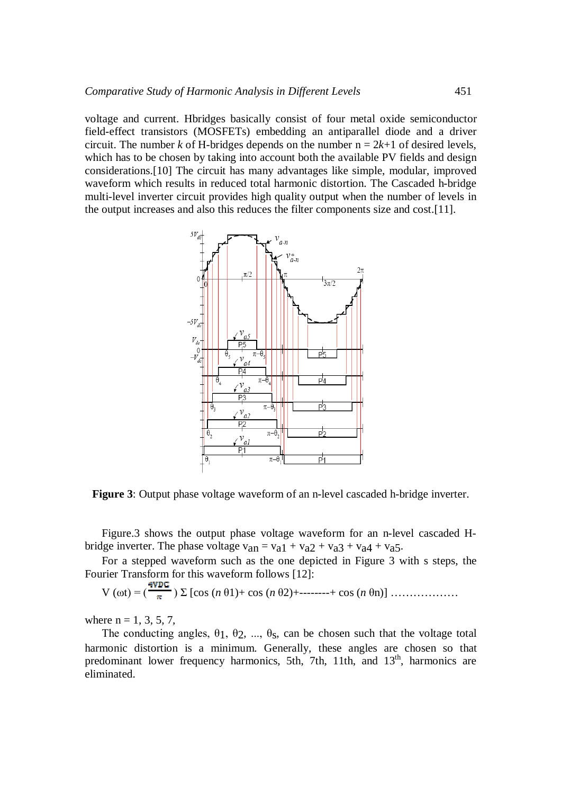voltage and current. Hbridges basically consist of four metal oxide semiconductor field-effect transistors (MOSFETs) embedding an antiparallel diode and a driver circuit. The number *k* of H-bridges depends on the number  $n = 2k+1$  of desired levels, which has to be chosen by taking into account both the available PV fields and design considerations.[10] The circuit has many advantages like simple, modular, improved waveform which results in reduced total harmonic distortion. The Cascaded h-bridge multi-level inverter circuit provides high quality output when the number of levels in the output increases and also this reduces the filter components size and cost.[11].



**Figure 3**: Output phase voltage waveform of an n-level cascaded h-bridge inverter.

Figure.3 shows the output phase voltage waveform for an n-level cascaded Hbridge inverter. The phase voltage  $v_{an} = v_{a1} + v_{a2} + v_{a3} + v_{a4} + v_{a5}$ .

For a stepped waveform such as the one depicted in Figure 3 with s steps, the Fourier Transform for this waveform follows [12]:

V (ωt) = ( ) Σ [cos (*n* θ1)+ cos (*n* θ2)+--------+ cos (*n* θn)] ………………

where  $n = 1, 3, 5, 7$ .

The conducting angles,  $\theta_1$ ,  $\theta_2$ , ...,  $\theta_8$ , can be chosen such that the voltage total harmonic distortion is a minimum. Generally, these angles are chosen so that predominant lower frequency harmonics, 5th, 7th, 11th, and 13<sup>th</sup>, harmonics are eliminated.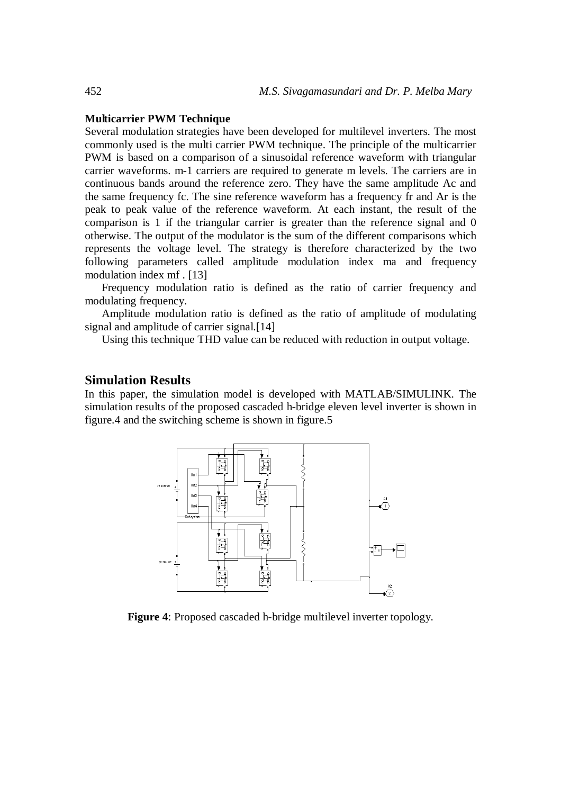#### **Multicarrier PWM Technique**

Several modulation strategies have been developed for multilevel inverters. The most commonly used is the multi carrier PWM technique. The principle of the multicarrier PWM is based on a comparison of a sinusoidal reference waveform with triangular carrier waveforms. m-1 carriers are required to generate m levels. The carriers are in continuous bands around the reference zero. They have the same amplitude Ac and the same frequency fc. The sine reference waveform has a frequency fr and Ar is the peak to peak value of the reference waveform. At each instant, the result of the comparison is 1 if the triangular carrier is greater than the reference signal and 0 otherwise. The output of the modulator is the sum of the different comparisons which represents the voltage level. The strategy is therefore characterized by the two following parameters called amplitude modulation index ma and frequency modulation index mf . [13]

Frequency modulation ratio is defined as the ratio of carrier frequency and modulating frequency.

Amplitude modulation ratio is defined as the ratio of amplitude of modulating signal and amplitude of carrier signal.<sup>[14]</sup>

Using this technique THD value can be reduced with reduction in output voltage.

## **Simulation Results**

In this paper, the simulation model is developed with MATLAB/SIMULINK. The simulation results of the proposed cascaded h-bridge eleven level inverter is shown in figure.4 and the switching scheme is shown in figure.5



**Figure 4**: Proposed cascaded h-bridge multilevel inverter topology.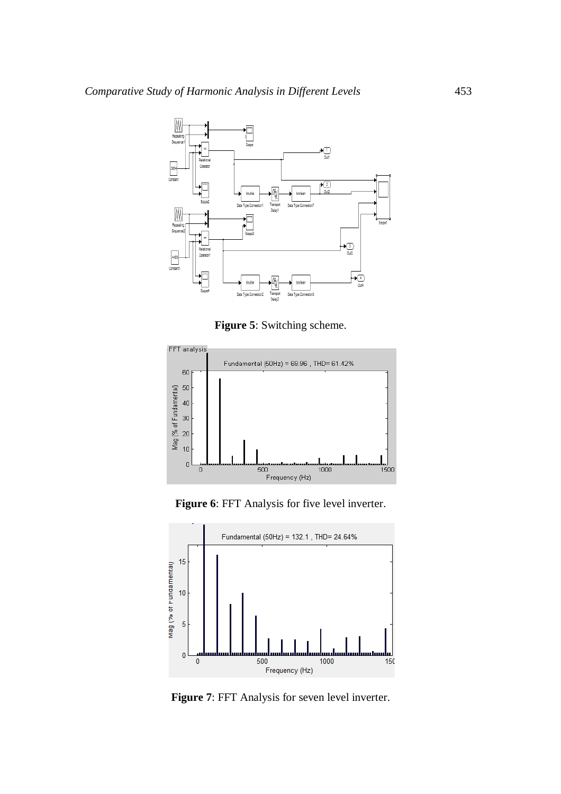

**Figure 5**: Switching scheme.



**Figure 6**: FFT Analysis for five level inverter.



Figure 7: FFT Analysis for seven level inverter.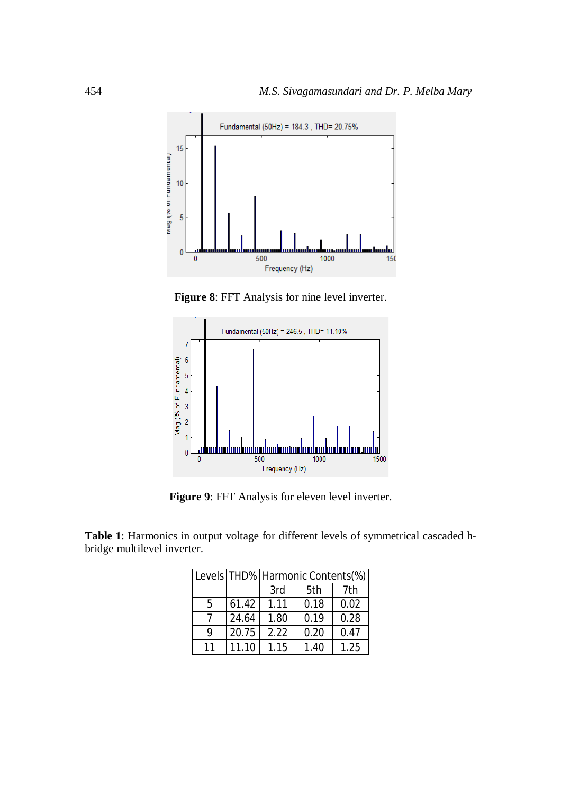

**Figure 8**: FFT Analysis for nine level inverter.



**Figure 9**: FFT Analysis for eleven level inverter.

**Table 1**: Harmonics in output voltage for different levels of symmetrical cascaded hbridge multilevel inverter.

|    |       | Levels   THD%   Harmonic Contents(%) |      |      |
|----|-------|--------------------------------------|------|------|
|    |       | 3rd                                  | 5th  | 7th  |
| 5  | 61.42 | 1.11                                 | 0.18 | 0.02 |
|    | 24.64 | 1.80                                 | 0.19 | 0.28 |
| 9  | 20.75 | 2.22                                 | 0.20 | 0.47 |
| 11 | 11.10 | 1.15                                 | 1.40 | 1.25 |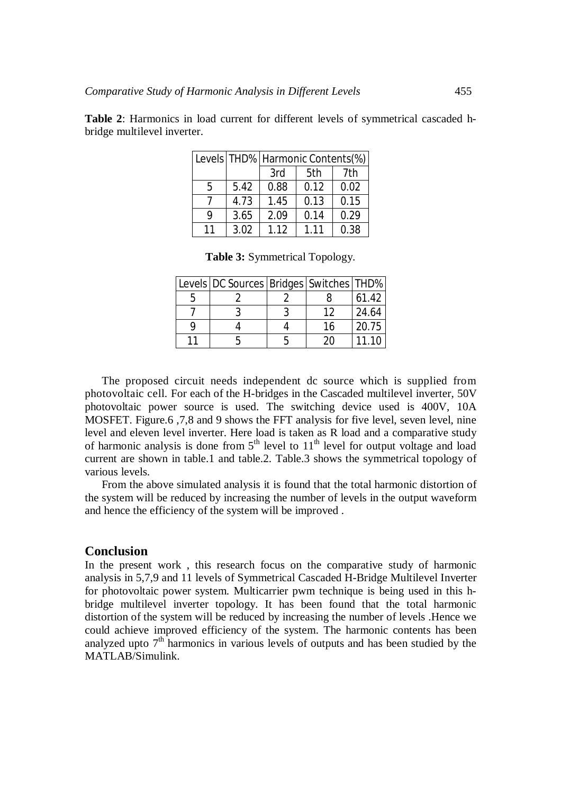|    |      | Levels   THD%   Harmonic Contents(%) |      |      |
|----|------|--------------------------------------|------|------|
|    |      | 3rd                                  | 5th  | 7th  |
| 5  | 5.42 | 0.88                                 | 0.12 | 0.02 |
|    | 4.73 | 1.45                                 | 0.13 | 0.15 |
| Q  | 3.65 | 2.09                                 | 0.14 | 0.29 |
| 11 | 3.02 | 1.12                                 | 1.11 | 0.38 |

**Table 2**: Harmonics in load current for different levels of symmetrical cascaded hbridge multilevel inverter.

|  | Table 3: Symmetrical Topology. |  |
|--|--------------------------------|--|
|--|--------------------------------|--|

| Levels   DC Sources   Bridges   Switches   THD% |    |       |
|-------------------------------------------------|----|-------|
|                                                 |    | 61.42 |
|                                                 | 12 | 24.64 |
|                                                 | 16 | 20.75 |
|                                                 | 20 | 11.10 |

The proposed circuit needs independent dc source which is supplied from photovoltaic cell. For each of the H-bridges in the Cascaded multilevel inverter, 50V photovoltaic power source is used. The switching device used is 400V, 10A MOSFET. Figure.6 ,7,8 and 9 shows the FFT analysis for five level, seven level, nine level and eleven level inverter. Here load is taken as R load and a comparative study of harmonic analysis is done from  $5<sup>th</sup>$  level to  $11<sup>th</sup>$  level for output voltage and load current are shown in table.1 and table.2. Table.3 shows the symmetrical topology of various levels.

From the above simulated analysis it is found that the total harmonic distortion of the system will be reduced by increasing the number of levels in the output waveform and hence the efficiency of the system will be improved .

# **Conclusion**

In the present work , this research focus on the comparative study of harmonic analysis in 5,7,9 and 11 levels of Symmetrical Cascaded H-Bridge Multilevel Inverter for photovoltaic power system. Multicarrier pwm technique is being used in this hbridge multilevel inverter topology. It has been found that the total harmonic distortion of the system will be reduced by increasing the number of levels .Hence we could achieve improved efficiency of the system. The harmonic contents has been analyzed upto  $7<sup>th</sup>$  harmonics in various levels of outputs and has been studied by the MATLAB/Simulink.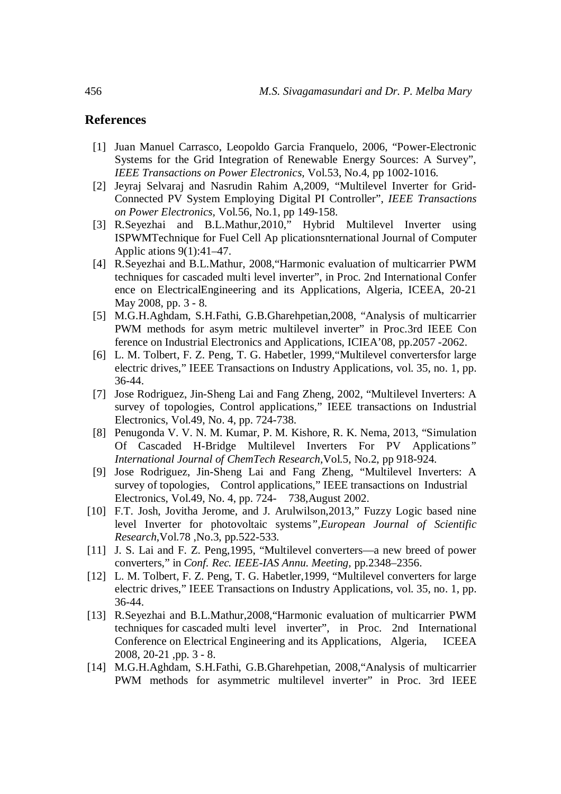# **References**

- [1] Juan Manuel Carrasco, Leopoldo Garcia Franquelo, 2006, "Power-Electronic Systems for the Grid Integration of Renewable Energy Sources: A Survey", *IEEE Transactions on Power Electronics,* Vol.53, No.4, pp 1002-1016.
- [2] Jeyraj Selvaraj and Nasrudin Rahim A,2009, "Multilevel Inverter for Grid-Connected PV System Employing Digital PI Controller", *IEEE Transactions on Power Electronics,* Vol.56, No.1, pp 149-158.
- [3] R.Seyezhai and B.L.Mathur,2010," Hybrid Multilevel Inverter using ISPWMTechnique for Fuel Cell Ap plicationsnternational Journal of Computer Applic ations 9(1):41–47.
- [4] R.Seyezhai and B.L.Mathur, 2008,"Harmonic evaluation of multicarrier PWM techniques for cascaded multi level inverter", in Proc. 2nd International Confer ence on ElectricalEngineering and its Applications, Algeria, ICEEA, 20-21 May 2008, pp. 3 - 8.
- [5] M.G.H.Aghdam, S.H.Fathi, G.B.Gharehpetian,2008, "Analysis of multicarrier PWM methods for asym metric multilevel inverter" in Proc.3rd IEEE Con ference on Industrial Electronics and Applications, ICIEA'08, pp.2057 -2062.
- [6] L. M. Tolbert, F. Z. Peng, T. G. Habetler, 1999,"Multilevel convertersfor large electric drives," IEEE Transactions on Industry Applications, vol. 35, no. 1, pp. 36-44.
- [7] Jose Rodriguez, Jin-Sheng Lai and Fang Zheng, 2002, "Multilevel Inverters: A survey of topologies, Control applications," IEEE transactions on Industrial Electronics, Vol.49, No. 4, pp. 724-738.
- [8] Penugonda V. V. N. M. Kumar, P. M. Kishore, R. K. Nema, 2013, "Simulation Of Cascaded H-Bridge Multilevel Inverters For PV Applications*" International Journal of ChemTech Research,*Vol.5, No.2, pp 918-924.
- [9] Jose Rodriguez, Jin-Sheng Lai and Fang Zheng, "Multilevel Inverters: A survey of topologies, Control applications," IEEE transactions on Industrial Electronics, Vol.49, No. 4, pp. 724- 738,August 2002.
- [10] F.T. Josh, Jovitha Jerome, and J. Arulwilson, 2013," Fuzzy Logic based nine level Inverter for photovoltaic systems*",European Journal of Scientific Research*,Vol.78 ,No.3, pp.522-533.
- [11] J. S. Lai and F. Z. Peng, 1995, "Multilevel converters—a new breed of power converters," in *Conf. Rec. IEEE-IAS Annu. Meeting,* pp.2348–2356.
- [12] L. M. Tolbert, F. Z. Peng, T. G. Habetler, 1999, "Multilevel converters for large electric drives," IEEE Transactions on Industry Applications, vol. 35, no. 1, pp. 36-44.
- [13] R.Seyezhai and B.L.Mathur,2008,"Harmonic evaluation of multicarrier PWM techniques for cascaded multi level inverter", in Proc. 2nd International Conference on Electrical Engineering and its Applications, Algeria, ICEEA 2008, 20-21 ,pp. 3 - 8.
- [14] M.G.H.Aghdam, S.H.Fathi, G.B.Gharehpetian, 2008,"Analysis of multicarrier PWM methods for asymmetric multilevel inverter" in Proc. 3rd IEEE